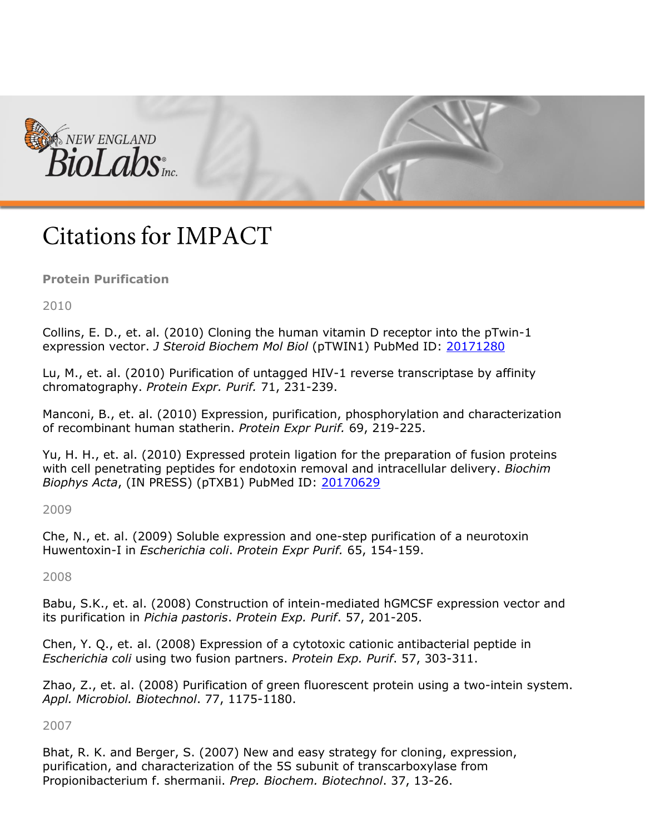

## **Citations for IMPACT**

**A. Protein Purification**

2010

Collins, E. D., et. al. (2010) Cloning the human vitamin D receptor into the pTwin-1 expression vector. *J Steroid Biochem Mol Biol* (pTWIN1) PubMed ID: [20171280](http://www.ncbi.nlm.nih.gov/pubmed/?term=20171280)

Lu, M., et. al. (2010) Purification of untagged HIV-1 reverse transcriptase by affinity chromatography. *Protein Expr. Purif.* 71, 231-239.

Manconi, B., et. al. (2010) Expression, purification, phosphorylation and characterization of recombinant human statherin. *Protein Expr Purif.* 69, 219-225.

Yu, H. H., et. al. (2010) Expressed protein ligation for the preparation of fusion proteins with cell penetrating peptides for endotoxin removal and intracellular delivery. *Biochim Biophys Acta*, (IN PRESS) (pTXB1) PubMed ID: [20170629](http://www.ncbi.nlm.nih.gov/pubmed/?term=20170629) 

2009

Che, N., et. al. (2009) Soluble expression and one-step purification of a neurotoxin Huwentoxin-I in *Escherichia coli*. *Protein Expr Purif.* 65, 154-159.

2008

Babu, S.K., et. al. (2008) Construction of intein-mediated hGMCSF expression vector and its purification in *Pichia pastoris*. *Protein Exp. Purif*. 57, 201-205.

Chen, Y. Q., et. al. (2008) Expression of a cytotoxic cationic antibacterial peptide in *Escherichia coli* using two fusion partners. *Protein Exp. Purif*. 57, 303-311.

Zhao, Z., et. al. (2008) Purification of green fluorescent protein using a two-intein system. *Appl. Microbiol. Biotechnol*. 77, 1175-1180.

2007

Bhat, R. K. and Berger, S. (2007) New and easy strategy for cloning, expression, purification, and characterization of the 5S subunit of transcarboxylase from Propionibacterium f. shermanii. *Prep. Biochem. Biotechnol*. 37, 13-26.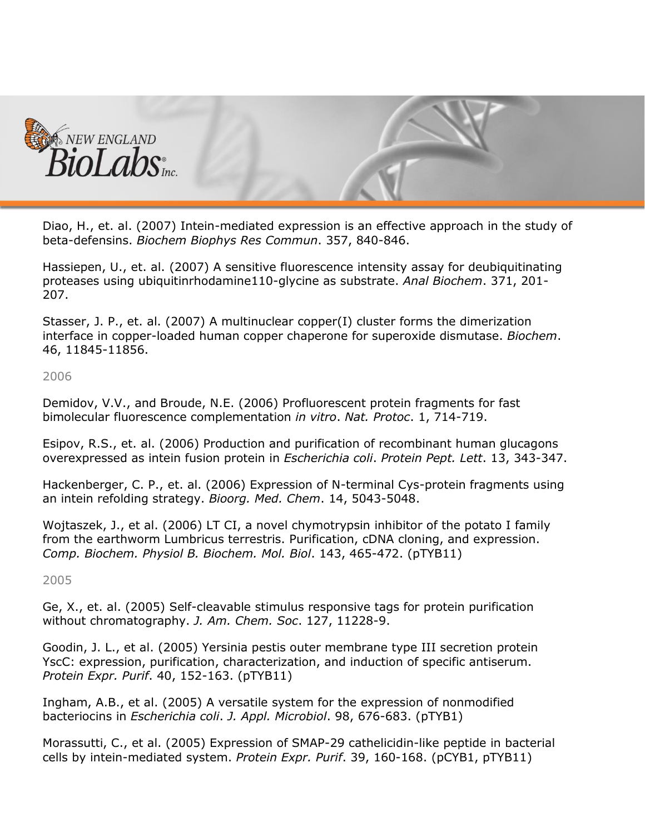

Diao, H., et. al. (2007) Intein-mediated expression is an effective approach in the study of beta-defensins. *Biochem Biophys Res Commun*. 357, 840-846.

Hassiepen, U., et. al. (2007) A sensitive fluorescence intensity assay for deubiquitinating proteases using ubiquitinrhodamine110-glycine as substrate. *Anal Biochem*. 371, 201- 207.

Stasser, J. P., et. al. (2007) A multinuclear copper(I) cluster forms the dimerization interface in copper-loaded human copper chaperone for superoxide dismutase. *Biochem*. 46, 11845-11856.

2006

Demidov, V.V., and Broude, N.E. (2006) Profluorescent protein fragments for fast bimolecular fluorescence complementation *in vitro*. *Nat. Protoc*. 1, 714-719.

Esipov, R.S., et. al. (2006) Production and purification of recombinant human glucagons overexpressed as intein fusion protein in *Escherichia coli*. *Protein Pept. Lett*. 13, 343-347.

Hackenberger, C. P., et. al. (2006) Expression of N-terminal Cys-protein fragments using an intein refolding strategy. *Bioorg. Med. Chem*. 14, 5043-5048.

Wojtaszek, J., et al. (2006) LT CI, a novel chymotrypsin inhibitor of the potato I family from the earthworm Lumbricus terrestris. Purification, cDNA cloning, and expression. *Comp. Biochem. Physiol B. Biochem. Mol. Biol*. 143, 465-472. (pTYB11)

2005

Ge, X., et. al. (2005) Self-cleavable stimulus responsive tags for protein purification without chromatography. *J. Am. Chem. Soc*. 127, 11228-9.

Goodin, J. L., et al. (2005) Yersinia pestis outer membrane type III secretion protein YscC: expression, purification, characterization, and induction of specific antiserum. *Protein Expr. Purif*. 40, 152-163. (pTYB11)

Ingham, A.B., et al. (2005) A versatile system for the expression of nonmodified bacteriocins in *Escherichia coli*. *J. Appl. Microbiol*. 98, 676-683. (pTYB1)

Morassutti, C., et al. (2005) Expression of SMAP-29 cathelicidin-like peptide in bacterial cells by intein-mediated system. *Protein Expr. Purif*. 39, 160-168. (pCYB1, pTYB11)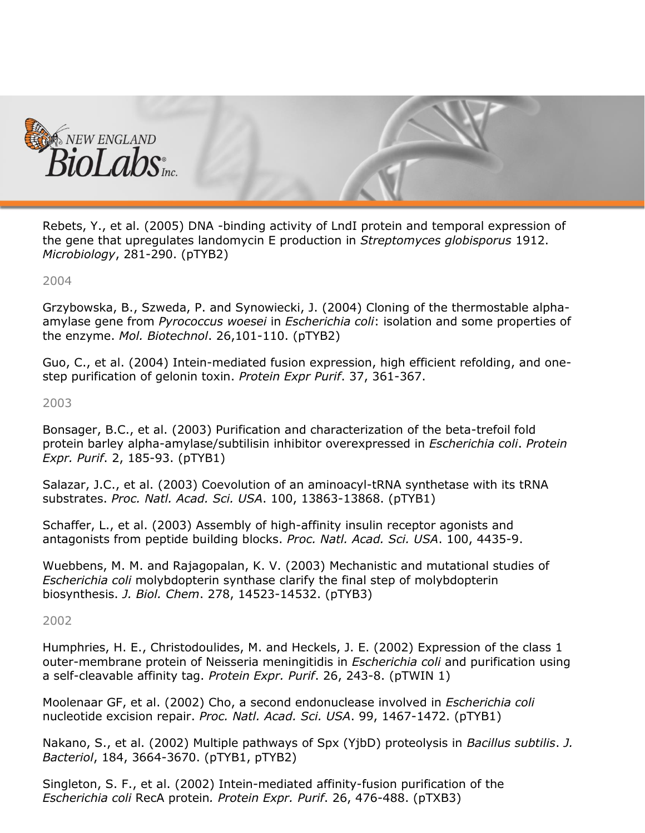

Rebets, Y., et al. (2005) DNA -binding activity of LndI protein and temporal expression of the gene that upregulates landomycin E production in *Streptomyces globisporus* 1912. *Microbiology*, 281-290. (pTYB2)

2004

Grzybowska, B., Szweda, P. and Synowiecki, J. (2004) Cloning of the thermostable alphaamylase gene from *Pyrococcus woesei* in *Escherichia coli*: isolation and some properties of the enzyme. *Mol. Biotechnol*. 26,101-110. (pTYB2)

Guo, C., et al. (2004) Intein-mediated fusion expression, high efficient refolding, and onestep purification of gelonin toxin. *Protein Expr Purif*. 37, 361-367.

2003

Bonsager, B.C., et al. (2003) Purification and characterization of the beta-trefoil fold protein barley alpha-amylase/subtilisin inhibitor overexpressed in *Escherichia coli*. *Protein Expr. Purif*. 2, 185-93. (pTYB1)

Salazar, J.C., et al. (2003) Coevolution of an aminoacyl-tRNA synthetase with its tRNA substrates. *Proc. Natl. Acad. Sci. USA*. 100, 13863-13868. (pTYB1)

Schaffer, L., et al. (2003) Assembly of high-affinity insulin receptor agonists and antagonists from peptide building blocks. *Proc. Natl. Acad. Sci. USA*. 100, 4435-9.

Wuebbens, M. M. and Rajagopalan, K. V. (2003) Mechanistic and mutational studies of *Escherichia coli* molybdopterin synthase clarify the final step of molybdopterin biosynthesis. *J. Biol. Chem*. 278, 14523-14532. (pTYB3)

2002

Humphries, H. E., Christodoulides, M. and Heckels, J. E. (2002) Expression of the class 1 outer-membrane protein of Neisseria meningitidis in *Escherichia coli* and purification using a self-cleavable affinity tag. *Protein Expr. Purif*. 26, 243-8. (pTWIN 1)

Moolenaar GF, et al. (2002) Cho, a second endonuclease involved in *Escherichia coli* nucleotide excision repair. *Proc. Natl. Acad. Sci. USA*. 99, 1467-1472. (pTYB1)

Nakano, S., et al. (2002) Multiple pathways of Spx (YjbD) proteolysis in *Bacillus subtilis*. *J. Bacteriol*, 184, 3664-3670. (pTYB1, pTYB2)

Singleton, S. F., et al. (2002) Intein-mediated affinity-fusion purification of the *Escherichia coli* RecA protein*. Protein Expr. Purif*. 26, 476-488. (pTXB3)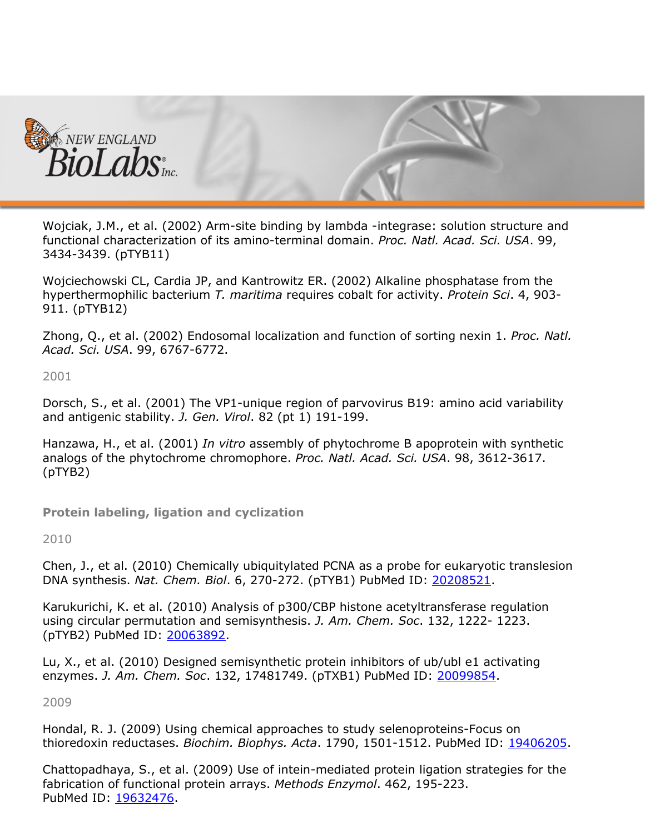

Wojciak, J.M., et al. (2002) Arm-site binding by lambda -integrase: solution structure and functional characterization of its amino-terminal domain. *Proc. Natl. Acad. Sci. USA*. 99, 3434-3439. (pTYB11)

Wojciechowski CL, Cardia JP, and Kantrowitz ER. (2002) Alkaline phosphatase from the hyperthermophilic bacterium *T. maritima* requires cobalt for activity. *Protein Sci*. 4, 903- 911. (pTYB12)

Zhong, Q., et al. (2002) Endosomal localization and function of sorting nexin 1. *Proc. Natl. Acad. Sci. USA*. 99, 6767-6772.

2001

Dorsch, S., et al. (2001) The VP1-unique region of parvovirus B19: amino acid variability and antigenic stability. *J. Gen. Virol*. 82 (pt 1) 191-199.

Hanzawa, H., et al. (2001) *In vitro* assembly of phytochrome B apoprotein with synthetic analogs of the phytochrome chromophore. *Proc. Natl. Acad. Sci. USA*. 98, 3612-3617. (pTYB2)

**Protein labeling, ligation and cyclization** 

2010

Chen, J., et al. (2010) Chemically ubiquitylated PCNA as a probe for eukaryotic translesion DNA synthesis. *Nat. Chem. Biol*. 6, 270-272. (pTYB1) PubMed ID: [20208521.](http://www.ncbi.nlm.nih.gov/pubmed/?term=20208521)

Karukurichi, K. et al. (2010) Analysis of p300/CBP histone acetyltransferase regulation using circular permutation and semisynthesis. *J. Am. Chem. Soc*. 132, 1222- 1223. (pTYB2) PubMed ID: [20063892.](http://www.ncbi.nlm.nih.gov/pubmed/?term=20063892)

Lu, X., et al. (2010) Designed semisynthetic protein inhibitors of ub/ubl e1 activating enzymes. *J. Am. Chem. Soc*. 132, 17481749. (pTXB1) PubMed ID: [20099854.](http://www.ncbi.nlm.nih.gov/pubmed/?term=20099854)

2009

Hondal, R. J. (2009) Using chemical approaches to study selenoproteins-Focus on thioredoxin reductases. *Biochim. Biophys. Acta*. 1790, 1501-1512. PubMed ID: [19406205.](http://www.ncbi.nlm.nih.gov/pubmed/?term=19406205)

Chattopadhaya, S., et al. (2009) Use of intein-mediated protein ligation strategies for the fabrication of functional protein arrays. *Methods Enzymol*. 462, 195-223. PubMed ID: [19632476.](http://www.ncbi.nlm.nih.gov/pubmed/?term=19632476)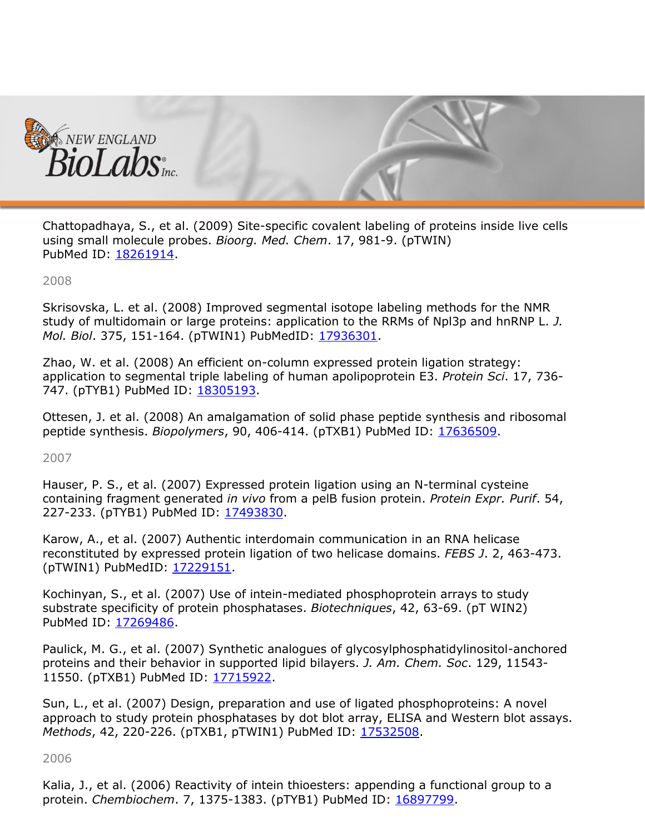

Chattopadhaya, S., et al. (2009) Site-specific covalent labeling of proteins inside live cells using small molecule probes. *Bioorg. Med. Chem*. 17, 981-9. (pTWIN) PubMed ID: [18261914.](http://www.ncbi.nlm.nih.gov/pubmed/?term=18261914)

2008

Skrisovska, L. et al. (2008) Improved segmental isotope labeling methods for the NMR study of multidomain or large proteins: application to the RRMs of Npl3p and hnRNP L. *J. Mol. Biol*. 375, 151-164. (pTWIN1) PubMedID: [17936301.](http://www.ncbi.nlm.nih.gov/pubmed/?term=17936301)

Zhao, W. et al. (2008) An efficient on-column expressed protein ligation strategy: application to segmental triple labeling of human apolipoprotein E3. *Protein Sci*. 17, 736- 747. (pTYB1) PubMed ID: [18305193.](http://www.ncbi.nlm.nih.gov/pubmed/?term=18305193)

Ottesen, J. et al. (2008) An amalgamation of solid phase peptide synthesis and ribosomal peptide synthesis. *Biopolymers*, 90, 406-414. (pTXB1) PubMed ID: [17636509.](http://www.ncbi.nlm.nih.gov/pubmed/?term=17636509)

2007

Hauser, P. S., et al. (2007) Expressed protein ligation using an N-terminal cysteine containing fragment generated *in vivo* from a pelB fusion protein. *Protein Expr. Purif*. 54, 227-233. (pTYB1) PubMed ID: [17493830.](http://www.ncbi.nlm.nih.gov/pubmed/?term=17493830)

Karow, A., et al. (2007) Authentic interdomain communication in an RNA helicase reconstituted by expressed protein ligation of two helicase domains. *FEBS J*. 2, 463-473. (pTWIN1) PubMedID: [17229151.](http://www.ncbi.nlm.nih.gov/pubmed/?term=17229151)

Kochinyan, S., et al. (2007) Use of intein-mediated phosphoprotein arrays to study substrate specificity of protein phosphatases. *Biotechniques*, 42, 63-69. (pT WIN2) PubMed ID: [17269486.](http://www.ncbi.nlm.nih.gov/pubmed/?term=17269486)

Paulick, M. G., et al. (2007) Synthetic analogues of glycosylphosphatidylinositol-anchored proteins and their behavior in supported lipid bilayers. *J. Am. Chem. Soc*. 129, 11543- 11550. (pTXB1) PubMed ID: [17715922.](http://www.ncbi.nlm.nih.gov/pubmed/?term=17715922)

Sun, L., et al. (2007) Design, preparation and use of ligated phosphoproteins: A novel approach to study protein phosphatases by dot blot array, ELISA and Western blot assays. *Methods*, 42, 220-226. (pTXB1, pTWIN1) PubMed ID: [17532508.](http://www.ncbi.nlm.nih.gov/pubmed/?term=17532508)

2006

Kalia, J., et al. (2006) Reactivity of intein thioesters: appending a functional group to a protein. *Chembiochem*. 7, 1375-1383. (pTYB1) PubMed ID: [16897799.](http://www.ncbi.nlm.nih.gov/pubmed/?term=16897799)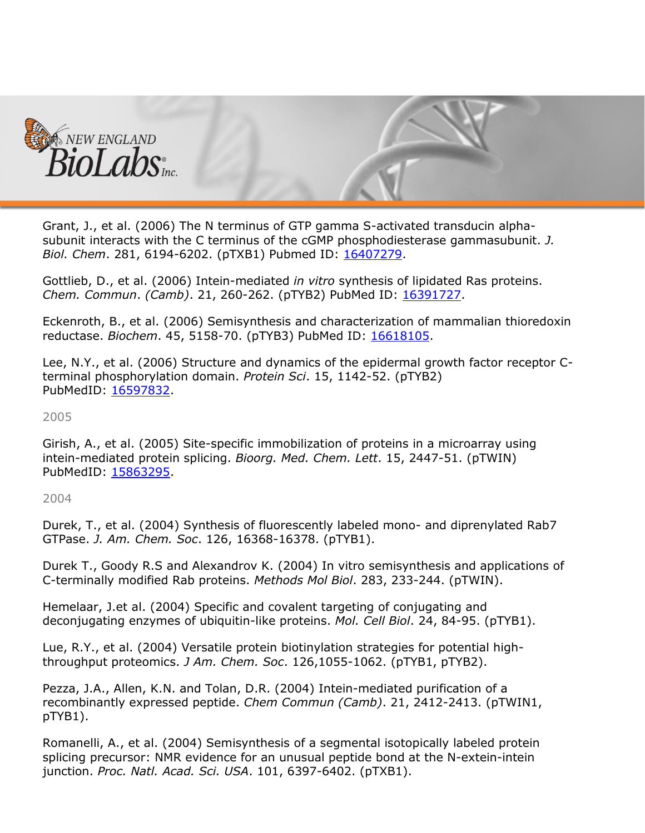

Grant, J., et al. (2006) The N terminus of GTP gamma S-activated transducin alphasubunit interacts with the C terminus of the cGMP phosphodiesterase gammasubunit. *J. Biol. Chem*. 281, 6194-6202. (pTXB1) Pubmed ID: [16407279.](http://www.ncbi.nlm.nih.gov/pubmed/?term=16407279)

Gottlieb, D., et al. (2006) Intein-mediated *in vitro* synthesis of lipidated Ras proteins. *Chem. Commun*. *(Camb)*. 21, 260-262. (pTYB2) PubMed ID: [16391727.](http://www.ncbi.nlm.nih.gov/pubmed/?term=16391727)

Eckenroth, B., et al. (2006) Semisynthesis and characterization of mammalian thioredoxin reductase. *Biochem*. 45, 5158-70. (pTYB3) PubMed ID: [16618105.](http://www.ncbi.nlm.nih.gov/pubmed/?term=16618105)

Lee, N.Y., et al. (2006) Structure and dynamics of the epidermal growth factor receptor Cterminal phosphorylation domain. *Protein Sci*. 15, 1142-52. (pTYB2) PubMedID: [16597832.](http://www.ncbi.nlm.nih.gov/pubmed/?term=16597832)

2005

Girish, A., et al. (2005) Site-specific immobilization of proteins in a microarray using intein-mediated protein splicing. *Bioorg. Med. Chem. Lett*. 15, 2447-51. (pTWIN) PubMedID: [15863295.](http://www.ncbi.nlm.nih.gov/pubmed/?term=15863295)

2004

Durek, T., et al. (2004) Synthesis of fluorescently labeled mono- and diprenylated Rab7 GTPase. *J. Am. Chem. Soc*. 126, 16368-16378. (pTYB1).

Durek T., Goody R.S and Alexandrov K. (2004) In vitro semisynthesis and applications of C-terminally modified Rab proteins. *Methods Mol Biol*. 283, 233-244. (pTWIN).

Hemelaar, J.et al. (2004) Specific and covalent targeting of conjugating and deconjugating enzymes of ubiquitin-like proteins. *Mol. Cell Biol*. 24, 84-95. (pTYB1).

Lue, R.Y., et al. (2004) Versatile protein biotinylation strategies for potential highthroughput proteomics. *J Am. Chem. Soc*. 126,1055-1062. (pTYB1, pTYB2).

Pezza, J.A., Allen, K.N. and Tolan, D.R. (2004) Intein-mediated purification of a recombinantly expressed peptide. *Chem Commun (Camb)*. 21, 2412-2413. (pTWIN1, pTYB1).

Romanelli, A., et al. (2004) Semisynthesis of a segmental isotopically labeled protein splicing precursor: NMR evidence for an unusual peptide bond at the N-extein-intein junction. *Proc. Natl. Acad. Sci. USA*. 101, 6397-6402. (pTXB1).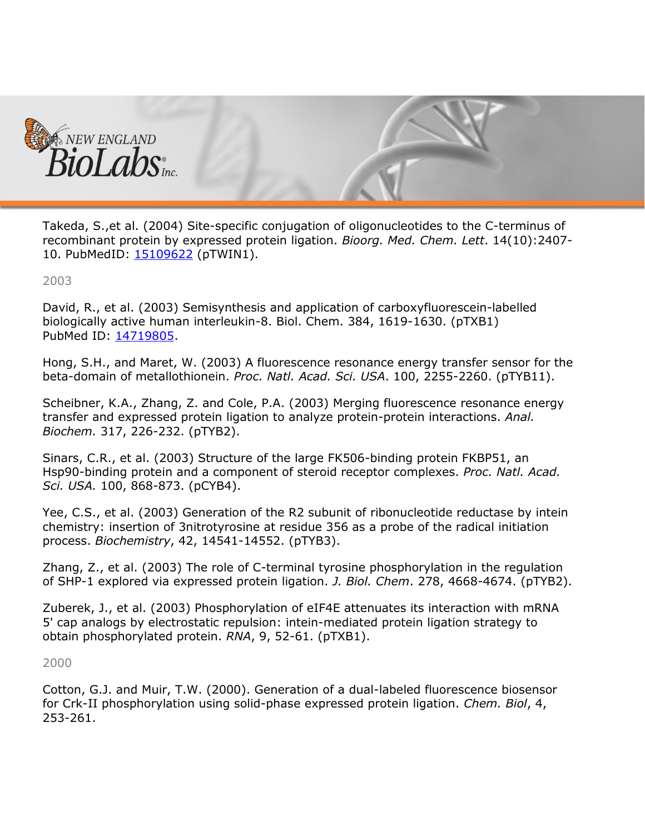

Takeda, S.,et al. (2004) Site-specific conjugation of oligonucleotides to the C-terminus of recombinant protein by expressed protein ligation. *Bioorg. Med. Chem. Lett*. 14(10):2407- 10. PubMedID: [15109622](http://www.ncbi.nlm.nih.gov/pubmed/?term=15109622) (pTWIN1).

2003

David, R., et al. (2003) Semisynthesis and application of carboxyfluorescein-labelled biologically active human interleukin-8. Biol. Chem. 384, 1619-1630. (pTXB1) PubMed ID: [14719805.](http://www.ncbi.nlm.nih.gov/pubmed/?term=14719805)

Hong, S.H., and Maret, W. (2003) A fluorescence resonance energy transfer sensor for the beta-domain of metallothionein. *Proc. Natl. Acad. Sci. USA*. 100, 2255-2260. (pTYB11).

Scheibner, K.A., Zhang, Z. and Cole, P.A. (2003) Merging fluorescence resonance energy transfer and expressed protein ligation to analyze protein-protein interactions. *Anal. Biochem.* 317, 226-232. (pTYB2).

Sinars, C.R., et al. (2003) Structure of the large FK506-binding protein FKBP51, an Hsp90-binding protein and a component of steroid receptor complexes. *Proc. Natl. Acad. Sci. USA.* 100, 868-873. (pCYB4).

Yee, C.S., et al. (2003) Generation of the R2 subunit of ribonucleotide reductase by intein chemistry: insertion of 3nitrotyrosine at residue 356 as a probe of the radical initiation process. *Biochemistry*, 42, 14541-14552. (pTYB3).

Zhang, Z., et al. (2003) The role of C-terminal tyrosine phosphorylation in the regulation of SHP-1 explored via expressed protein ligation. *J. Biol. Chem*. 278, 4668-4674. (pTYB2).

Zuberek, J., et al. (2003) Phosphorylation of eIF4E attenuates its interaction with mRNA 5' cap analogs by electrostatic repulsion: intein-mediated protein ligation strategy to obtain phosphorylated protein. *RNA*, 9, 52-61. (pTXB1).

2000

Cotton, G.J. and Muir, T.W. (2000). Generation of a dual-labeled fluorescence biosensor for Crk-II phosphorylation using solid-phase expressed protein ligation. *Chem. Biol*, 4, 253-261.